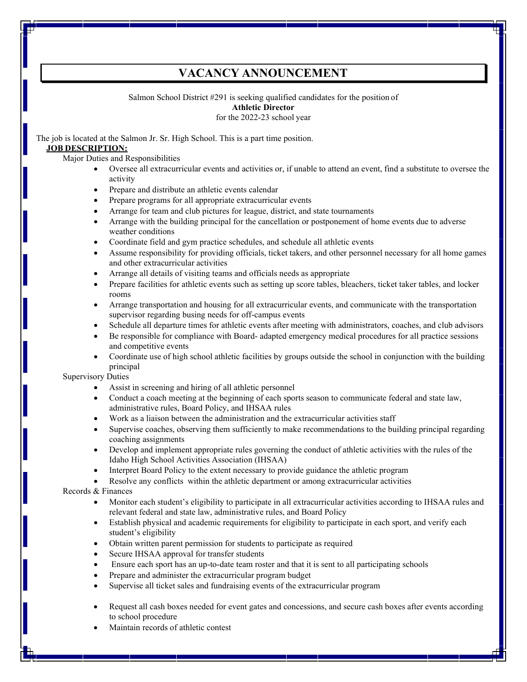# **VACANCY ANNOUNCEMENT**

Salmon School District #291 is seeking qualified candidates for the position of

## **Athletic Director**

for the 2022-23 school year

The job is located at the Salmon Jr. Sr. High School. This is a part time position.

# **JOB DESCRIPTION:**

Major Duties and Responsibilities

- Oversee all extracurricular events and activities or, if unable to attend an event, find a substitute to oversee the activity
- Prepare and distribute an athletic events calendar
- Prepare programs for all appropriate extracurricular events
- Arrange for team and club pictures for league, district, and state tournaments
- Arrange with the building principal for the cancellation or postponement of home events due to adverse weather conditions
- Coordinate field and gym practice schedules, and schedule all athletic events
- Assume responsibility for providing officials, ticket takers, and other personnel necessary for all home games and other extracurricular activities
- Arrange all details of visiting teams and officials needs as appropriate
- Prepare facilities for athletic events such as setting up score tables, bleachers, ticket taker tables, and locker rooms
- Arrange transportation and housing for all extracurricular events, and communicate with the transportation supervisor regarding busing needs for off-campus events
- Schedule all departure times for athletic events after meeting with administrators, coaches, and club advisors
- Be responsible for compliance with Board- adapted emergency medical procedures for all practice sessions and competitive events
- Coordinate use of high school athletic facilities by groups outside the school in conjunction with the building principal

## Supervisory Duties

- Assist in screening and hiring of all athletic personnel
- Conduct a coach meeting at the beginning of each sports season to communicate federal and state law, administrative rules, Board Policy, and IHSAA rules
- Work as a liaison between the administration and the extracurricular activities staff
- Supervise coaches, observing them sufficiently to make recommendations to the building principal regarding coaching assignments
- Develop and implement appropriate rules governing the conduct of athletic activities with the rules of the Idaho High School Activities Association (IHSAA)
- Interpret Board Policy to the extent necessary to provide guidance the athletic program
- Resolve any conflicts within the athletic department or among extracurricular activities

Records & Finances

- Monitor each student's eligibility to participate in all extracurricular activities according to IHSAA rules and relevant federal and state law, administrative rules, and Board Policy
- Establish physical and academic requirements for eligibility to participate in each sport, and verify each student's eligibility
- Obtain written parent permission for students to participate as required
- Secure IHSAA approval for transfer students
- Ensure each sport has an up-to-date team roster and that it is sent to all participating schools
- Prepare and administer the extracurricular program budget
- Supervise all ticket sales and fundraising events of the extracurricular program
- Request all cash boxes needed for event gates and concessions, and secure cash boxes after events according to school procedure
- Maintain records of athletic contest